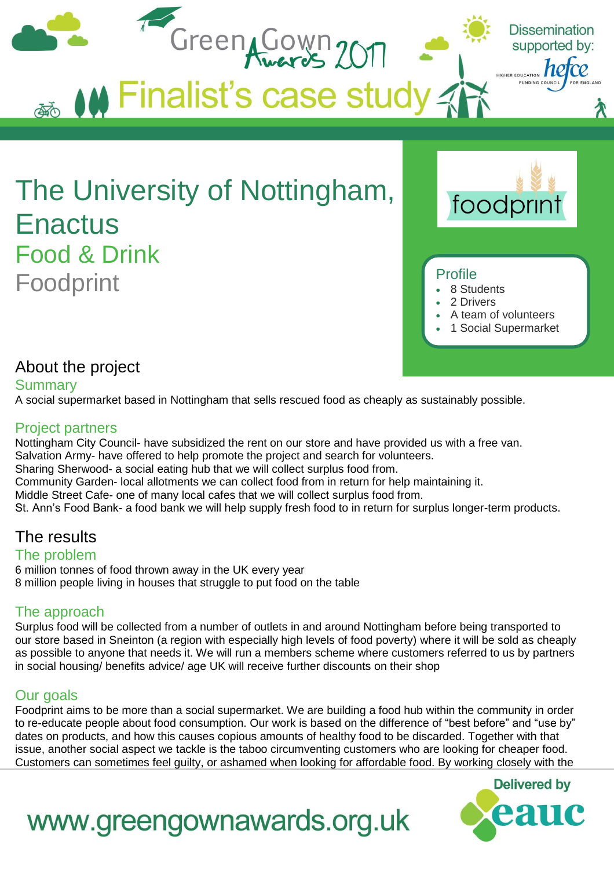

# About the project

#### **Summary**

A social supermarket based in Nottingham that sells rescued food as cheaply as sustainably possible.

#### Project partners

Nottingham City Council- have subsidized the rent on our store and have provided us with a free van. Salvation Army- have offered to help promote the project and search for volunteers. Sharing Sherwood- a social eating hub that we will collect surplus food from. Community Garden- local allotments we can collect food from in return for help maintaining it. Middle Street Cafe- one of many local cafes that we will collect surplus food from. St. Ann's Food Bank- a food bank we will help supply fresh food to in return for surplus longer-term products.

## The results

#### The problem

6 million tonnes of food thrown away in the UK every year 8 million people living in houses that struggle to put food on the table

## The approach

Surplus food will be collected from a number of outlets in and around Nottingham before being transported to our store based in Sneinton (a region with especially high levels of food poverty) where it will be sold as cheaply as possible to anyone that needs it. We will run a members scheme where customers referred to us by partners in social housing/ benefits advice/ age UK will receive further discounts on their shop

### Our goals

Foodprint aims to be more than a social supermarket. We are building a food hub within the community in order to re-educate people about food consumption. Our work is based on the difference of "best before" and "use by" dates on products, and how this causes copious amounts of healthy food to be discarded. Together with that issue, another social aspect we tackle is the taboo circumventing customers who are looking for cheaper food. Customers can sometimes feel guilty, or ashamed when looking for affordable food. By working closely with the



# www.greengownawards.org.uk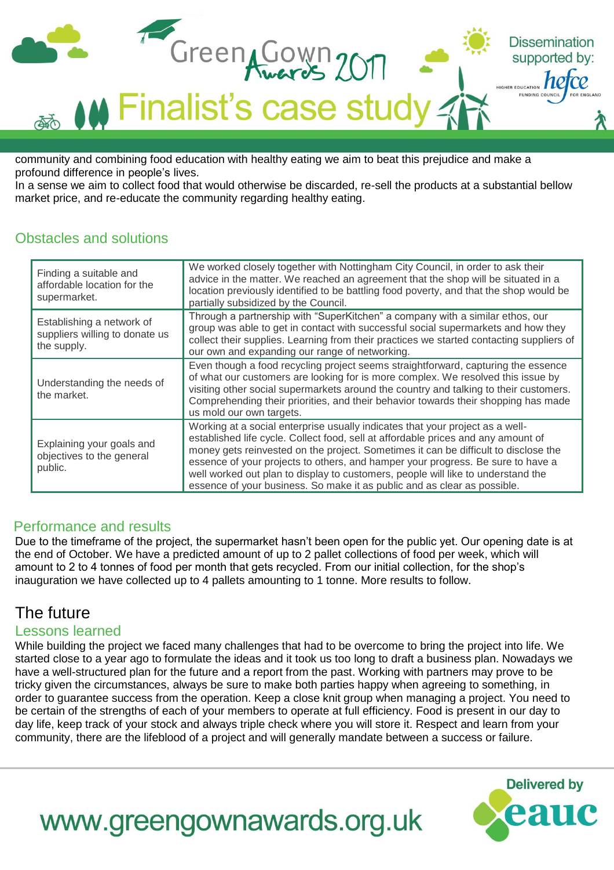

community and combining food education with healthy eating we aim to beat this prejudice and make a profound difference in people's lives.

In a sense we aim to collect food that would otherwise be discarded, re-sell the products at a substantial bellow market price, and re-educate the community regarding healthy eating.

## Obstacles and solutions

| Finding a suitable and<br>affordable location for the<br>supermarket.      | We worked closely together with Nottingham City Council, in order to ask their<br>advice in the matter. We reached an agreement that the shop will be situated in a<br>location previously identified to be battling food poverty, and that the shop would be<br>partially subsidized by the Council.                                                                                                                                                                                                        |
|----------------------------------------------------------------------------|--------------------------------------------------------------------------------------------------------------------------------------------------------------------------------------------------------------------------------------------------------------------------------------------------------------------------------------------------------------------------------------------------------------------------------------------------------------------------------------------------------------|
| Establishing a network of<br>suppliers willing to donate us<br>the supply. | Through a partnership with "SuperKitchen" a company with a similar ethos, our<br>group was able to get in contact with successful social supermarkets and how they<br>collect their supplies. Learning from their practices we started contacting suppliers of<br>our own and expanding our range of networking.                                                                                                                                                                                             |
| Understanding the needs of<br>the market.                                  | Even though a food recycling project seems straightforward, capturing the essence<br>of what our customers are looking for is more complex. We resolved this issue by<br>visiting other social supermarkets around the country and talking to their customers.<br>Comprehending their priorities, and their behavior towards their shopping has made<br>us mold our own targets.                                                                                                                             |
| Explaining your goals and<br>objectives to the general<br>public.          | Working at a social enterprise usually indicates that your project as a well-<br>established life cycle. Collect food, sell at affordable prices and any amount of<br>money gets reinvested on the project. Sometimes it can be difficult to disclose the<br>essence of your projects to others, and hamper your progress. Be sure to have a<br>well worked out plan to display to customers, people will like to understand the<br>essence of your business. So make it as public and as clear as possible. |

## Performance and results

Due to the timeframe of the project, the supermarket hasn't been open for the public yet. Our opening date is at the end of October. We have a predicted amount of up to 2 pallet collections of food per week, which will amount to 2 to 4 tonnes of food per month that gets recycled. From our initial collection, for the shop's inauguration we have collected up to 4 pallets amounting to 1 tonne. More results to follow.

# The future

#### Lessons learned

While building the project we faced many challenges that had to be overcome to bring the project into life. We started close to a year ago to formulate the ideas and it took us too long to draft a business plan. Nowadays we have a well-structured plan for the future and a report from the past. Working with partners may prove to be tricky given the circumstances, always be sure to make both parties happy when agreeing to something, in order to guarantee success from the operation. Keep a close knit group when managing a project. You need to be certain of the strengths of each of your members to operate at full efficiency. Food is present in our day to day life, keep track of your stock and always triple check where you will store it. Respect and learn from your community, there are the lifeblood of a project and will generally mandate between a success or failure.